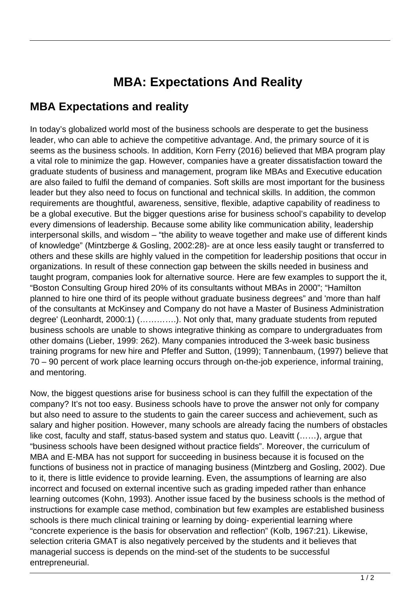## **MBA: Expectations And Reality**

## **MBA Expectations and reality**

In today's globalized world most of the business schools are desperate to get the business leader, who can able to achieve the competitive advantage. And, the primary source of it is seems as the business schools. In addition, Korn Ferry (2016) believed that MBA program play a vital role to minimize the gap. However, companies have a greater dissatisfaction toward the graduate students of business and management, program like MBAs and Executive education are also failed to fulfil the demand of companies. Soft skills are most important for the business leader but they also need to focus on functional and technical skills. In addition, the common requirements are thoughtful, awareness, sensitive, flexible, adaptive capability of readiness to be a global executive. But the bigger questions arise for business school's capability to develop every dimensions of leadership. Because some ability like communication ability, leadership interpersonal skills, and wisdom – "the ability to weave together and make use of different kinds of knowledge" (Mintzberge & Gosling, 2002:28)- are at once less easily taught or transferred to others and these skills are highly valued in the competition for leadership positions that occur in organizations. In result of these connection gap between the skills needed in business and taught program, companies look for alternative source. Here are few examples to support the it, "Boston Consulting Group hired 20% of its consultants without MBAs in 2000"; "Hamilton planned to hire one third of its people without graduate business degrees" and 'more than half of the consultants at McKinsey and Company do not have a Master of Business Administration degree' (Leonhardt, 2000:1) (………….). Not only that, many graduate students from reputed business schools are unable to shows integrative thinking as compare to undergraduates from other domains (Lieber, 1999: 262). Many companies introduced the 3-week basic business training programs for new hire and Pfeffer and Sutton, (1999); Tannenbaum, (1997) believe that 70 – 90 percent of work place learning occurs through on-the-job experience, informal training, and mentoring.

Now, the biggest questions arise for business school is can they fulfill the expectation of the company? It's not too easy. Business schools have to prove the answer not only for company but also need to assure to the students to gain the career success and achievement, such as salary and higher position. However, many schools are already facing the numbers of obstacles like cost, faculty and staff, status-based system and status quo. Leavitt (……), argue that "business schools have been designed without practice fields". Moreover, the curriculum of MBA and E-MBA has not support for succeeding in business because it is focused on the functions of business not in practice of managing business (Mintzberg and Gosling, 2002). Due to it, there is little evidence to provide learning. Even, the assumptions of learning are also incorrect and focused on external incentive such as grading impeded rather than enhance learning outcomes (Kohn, 1993). Another issue faced by the business schools is the method of instructions for example case method, combination but few examples are established business schools is there much clinical training or learning by doing- experiential learning where "concrete experience is the basis for observation and reflection" (Kolb, 1967:21). Likewise, selection criteria GMAT is also negatively perceived by the students and it believes that managerial success is depends on the mind-set of the students to be successful entrepreneurial.